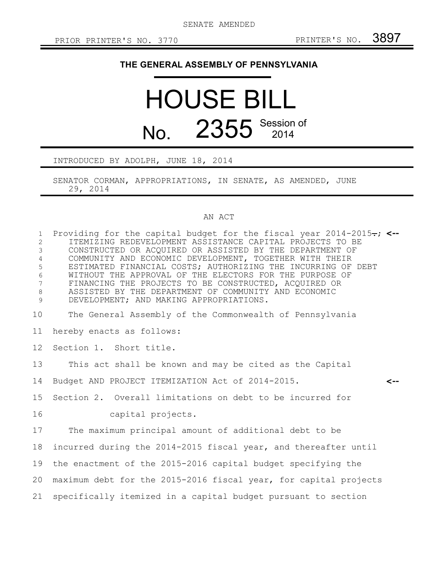## **THE GENERAL ASSEMBLY OF PENNSYLVANIA**

## HOUSE BILL No. 2355 Session of

INTRODUCED BY ADOLPH, JUNE 18, 2014

SENATOR CORMAN, APPROPRIATIONS, IN SENATE, AS AMENDED, JUNE 29, 2014

## AN ACT

| $\mathbf{1}$<br>2<br>$\mathfrak{Z}$<br>$\overline{4}$<br>5<br>6<br>$7\overline{ }$<br>$\,8\,$<br>9 | Providing for the capital budget for the fiscal year $2014-2015$ ; <--<br>ITEMIZING REDEVELOPMENT ASSISTANCE CAPITAL PROJECTS TO BE<br>CONSTRUCTED OR ACQUIRED OR ASSISTED BY THE DEPARTMENT OF<br>COMMUNITY AND ECONOMIC DEVELOPMENT, TOGETHER WITH THEIR<br>ESTIMATED FINANCIAL COSTS; AUTHORIZING THE INCURRING OF DEBT<br>WITHOUT THE APPROVAL OF THE ELECTORS FOR THE PURPOSE OF<br>FINANCING THE PROJECTS TO BE CONSTRUCTED, ACQUIRED OR<br>ASSISTED BY THE DEPARTMENT OF COMMUNITY AND ECONOMIC<br>DEVELOPMENT; AND MAKING APPROPRIATIONS. |  |
|----------------------------------------------------------------------------------------------------|---------------------------------------------------------------------------------------------------------------------------------------------------------------------------------------------------------------------------------------------------------------------------------------------------------------------------------------------------------------------------------------------------------------------------------------------------------------------------------------------------------------------------------------------------|--|
| 10                                                                                                 | The General Assembly of the Commonwealth of Pennsylvania                                                                                                                                                                                                                                                                                                                                                                                                                                                                                          |  |
| 11                                                                                                 | hereby enacts as follows:                                                                                                                                                                                                                                                                                                                                                                                                                                                                                                                         |  |
| 12 <sup>°</sup>                                                                                    | Section 1. Short title.                                                                                                                                                                                                                                                                                                                                                                                                                                                                                                                           |  |
| 13                                                                                                 | This act shall be known and may be cited as the Capital                                                                                                                                                                                                                                                                                                                                                                                                                                                                                           |  |
| 14                                                                                                 | Budget AND PROJECT ITEMIZATION Act of 2014-2015.<br><--                                                                                                                                                                                                                                                                                                                                                                                                                                                                                           |  |
| 15 <sub>1</sub>                                                                                    | Section 2. Overall limitations on debt to be incurred for                                                                                                                                                                                                                                                                                                                                                                                                                                                                                         |  |
| 16                                                                                                 | capital projects.                                                                                                                                                                                                                                                                                                                                                                                                                                                                                                                                 |  |
| 17                                                                                                 | The maximum principal amount of additional debt to be                                                                                                                                                                                                                                                                                                                                                                                                                                                                                             |  |
| 18                                                                                                 | incurred during the 2014-2015 fiscal year, and thereafter until                                                                                                                                                                                                                                                                                                                                                                                                                                                                                   |  |
| 19                                                                                                 | the enactment of the 2015-2016 capital budget specifying the                                                                                                                                                                                                                                                                                                                                                                                                                                                                                      |  |
| 20                                                                                                 | maximum debt for the 2015-2016 fiscal year, for capital projects                                                                                                                                                                                                                                                                                                                                                                                                                                                                                  |  |
| 21                                                                                                 | specifically itemized in a capital budget pursuant to section                                                                                                                                                                                                                                                                                                                                                                                                                                                                                     |  |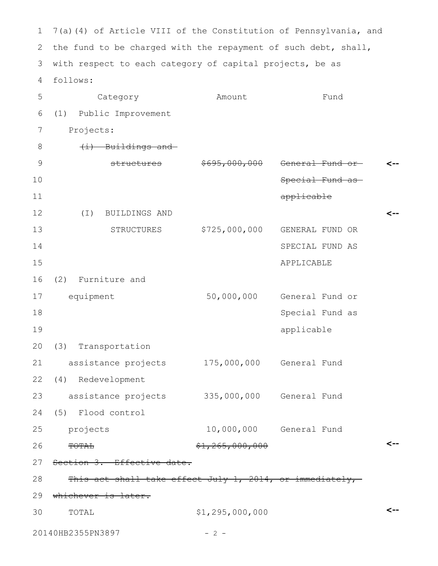7(a)(4) of Article VIII of the Constitution of Pennsylvania, and 1 2 the fund to be charged with the repayment of such debt, shall, with respect to each category of capital projects, be as follows: Category **Amount** Fund (1) Public Improvement Projects:  $(i)$  Buildings and structures \$695,000,000 General Fund or Special Fund as applicable (I) BUILDINGS AND STRUCTURES \$725,000,000 GENERAL FUND OR SPECIAL FUND AS APPLICABLE (2) Furniture and equipment 50,000,000 General Fund or Special Fund as applicable (3) Transportation assistance projects 175,000,000 General Fund (4) Redevelopment assistance projects 335,000,000 General Fund (5) Flood control projects 10,000,000 General Fund TOTAL  $$1,265,000,000$ Section 3. Effective date. This act shall take effect July 1, 2014, or immediately,-29 whichever is later. TOTAL \$1,295,000,000 20140HB2355PN3897 - 2 -**<-- <-- <-- <--** 3 4 5 6 7 8 9 10 11 12 13 14 15 16 17 18 19 20 21 22 23 24 25 26 27 28 30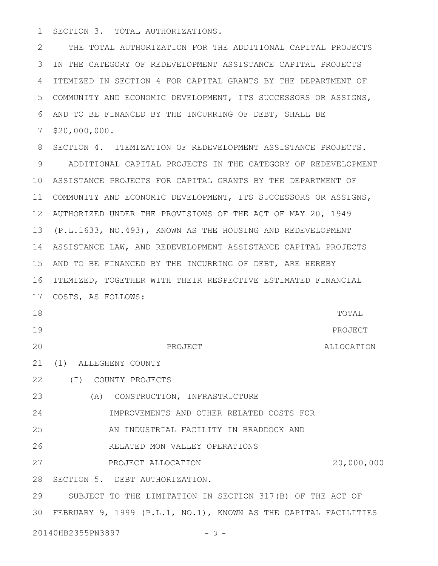SECTION 3. TOTAL AUTHORIZATIONS. 1

THE TOTAL AUTHORIZATION FOR THE ADDITIONAL CAPITAL PROJECTS IN THE CATEGORY OF REDEVELOPMENT ASSISTANCE CAPITAL PROJECTS 3 4 ITEMIZED IN SECTION 4 FOR CAPITAL GRANTS BY THE DEPARTMENT OF COMMUNITY AND ECONOMIC DEVELOPMENT, ITS SUCCESSORS OR ASSIGNS, 5 AND TO BE FINANCED BY THE INCURRING OF DEBT, SHALL BE 6 \$20,000,000. 7 2

8 SECTION 4. ITEMIZATION OF REDEVELOPMENT ASSISTANCE PROJECTS. ADDITIONAL CAPITAL PROJECTS IN THE CATEGORY OF REDEVELOPMENT ASSISTANCE PROJECTS FOR CAPITAL GRANTS BY THE DEPARTMENT OF 10 COMMUNITY AND ECONOMIC DEVELOPMENT, ITS SUCCESSORS OR ASSIGNS, 11 AUTHORIZED UNDER THE PROVISIONS OF THE ACT OF MAY 20, 1949 12 (P.L.1633, NO.493), KNOWN AS THE HOUSING AND REDEVELOPMENT 13 ASSISTANCE LAW, AND REDEVELOPMENT ASSISTANCE CAPITAL PROJECTS 14 15 AND TO BE FINANCED BY THE INCURRING OF DEBT, ARE HEREBY 16 ITEMIZED, TOGETHER WITH THEIR RESPECTIVE ESTIMATED FINANCIAL COSTS, AS FOLLOWS: 17 PROJECT TOTAL PROJECT ALLOCATION (1) ALLEGHENY COUNTY 21 (I) COUNTY PROJECTS 22 (A) CONSTRUCTION, INFRASTRUCTURE IMPROVEMENTS AND OTHER RELATED COSTS FOR AN INDUSTRIAL FACILITY IN BRADDOCK AND RELATED MON VALLEY OPERATIONS PROJECT ALLOCATION 20,000,000 28 SECTION 5. DEBT AUTHORIZATION. SUBJECT TO THE LIMITATION IN SECTION 317(B) OF THE ACT OF FEBRUARY 9, 1999 (P.L.1, NO.1), KNOWN AS THE CAPITAL FACILITIES 3020140HB2355PN3897 - 3 -9 18 19 20 23 24 25 26 27 29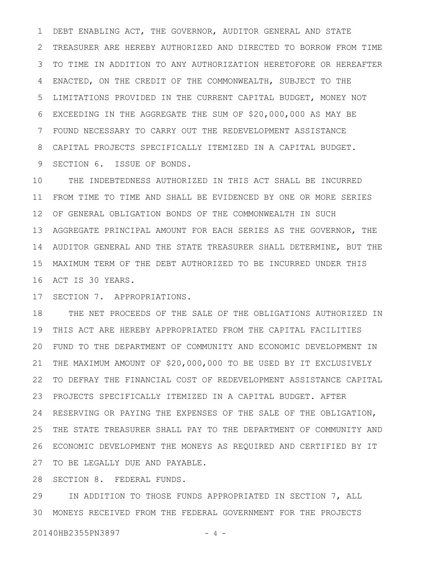DEBT ENABLING ACT, THE GOVERNOR, AUDITOR GENERAL AND STATE TREASURER ARE HEREBY AUTHORIZED AND DIRECTED TO BORROW FROM TIME TO TIME IN ADDITION TO ANY AUTHORIZATION HERETOFORE OR HEREAFTER ENACTED, ON THE CREDIT OF THE COMMONWEALTH, SUBJECT TO THE LIMITATIONS PROVIDED IN THE CURRENT CAPITAL BUDGET, MONEY NOT EXCEEDING IN THE AGGREGATE THE SUM OF \$20,000,000 AS MAY BE FOUND NECESSARY TO CARRY OUT THE REDEVELOPMENT ASSISTANCE CAPITAL PROJECTS SPECIFICALLY ITEMIZED IN A CAPITAL BUDGET. SECTION 6. ISSUE OF BONDS. 1 2 3 4 5 6 7 8 9

THE INDEBTEDNESS AUTHORIZED IN THIS ACT SHALL BE INCURRED FROM TIME TO TIME AND SHALL BE EVIDENCED BY ONE OR MORE SERIES 11 OF GENERAL OBLIGATION BONDS OF THE COMMONWEALTH IN SUCH 12 AGGREGATE PRINCIPAL AMOUNT FOR EACH SERIES AS THE GOVERNOR, THE 13 14 AUDITOR GENERAL AND THE STATE TREASURER SHALL DETERMINE, BUT THE MAXIMUM TERM OF THE DEBT AUTHORIZED TO BE INCURRED UNDER THIS 15 16 ACT IS 30 YEARS. 10

17 SECTION 7. APPROPRIATIONS.

THE NET PROCEEDS OF THE SALE OF THE OBLIGATIONS AUTHORIZED IN THIS ACT ARE HEREBY APPROPRIATED FROM THE CAPITAL FACILITIES 19 FUND TO THE DEPARTMENT OF COMMUNITY AND ECONOMIC DEVELOPMENT IN 20 THE MAXIMUM AMOUNT OF \$20,000,000 TO BE USED BY IT EXCLUSIVELY TO DEFRAY THE FINANCIAL COST OF REDEVELOPMENT ASSISTANCE CAPITAL 22 PROJECTS SPECIFICALLY ITEMIZED IN A CAPITAL BUDGET. AFTER 23 RESERVING OR PAYING THE EXPENSES OF THE SALE OF THE OBLIGATION, 24 THE STATE TREASURER SHALL PAY TO THE DEPARTMENT OF COMMUNITY AND ECONOMIC DEVELOPMENT THE MONEYS AS REQUIRED AND CERTIFIED BY IT 26 27 TO BE LEGALLY DUE AND PAYABLE. 18 21 25

28 SECTION 8. FEDERAL FUNDS.

IN ADDITION TO THOSE FUNDS APPROPRIATED IN SECTION 7, ALL MONEYS RECEIVED FROM THE FEDERAL GOVERNMENT FOR THE PROJECTS 3029

20140HB2355PN3897 - 4 -